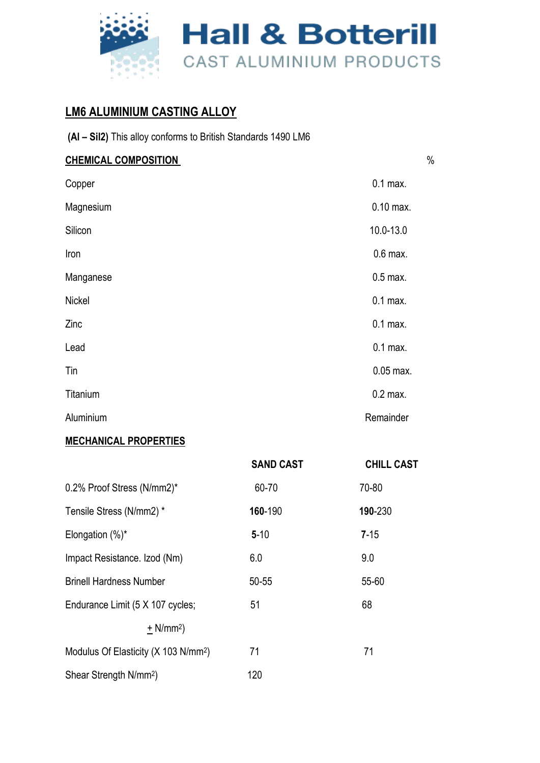

#### **LM6 ALUMINIUM CASTING ALLOY**

| (AI - Sil2) This alloy conforms to British Standards 1490 LM6 |  |
|---------------------------------------------------------------|--|
|---------------------------------------------------------------|--|

| <b>CHEMICAL COMPOSITION</b> | $\%$        |
|-----------------------------|-------------|
| Copper                      | $0.1$ max.  |
| Magnesium                   | $0.10$ max. |
| Silicon                     | 10.0-13.0   |
| Iron                        | $0.6$ max.  |
| Manganese                   | $0.5$ max.  |
| Nickel                      | $0.1$ max.  |
| Zinc                        | $0.1$ max.  |
| Lead                        | $0.1$ max.  |
| Tin                         | $0.05$ max. |
| Titanium                    | $0.2$ max.  |
| Aluminium                   | Remainder   |

#### **MECHANICAL PROPERTIES**

|                                                  | <b>SAND CAST</b> | <b>CHILL CAST</b> |
|--------------------------------------------------|------------------|-------------------|
| 0.2% Proof Stress (N/mm2)*                       | 60-70            | 70-80             |
| Tensile Stress (N/mm2) *                         | 160-190          | 190-230           |
| Elongation $(\%)^*$                              | $5 - 10$         | $7 - 15$          |
| Impact Resistance. Izod (Nm)                     | 6.0              | 9.0               |
| <b>Brinell Hardness Number</b>                   | $50 - 55$        | 55-60             |
| Endurance Limit (5 X 107 cycles;                 | 51               | 68                |
| $+ N/mm2$                                        |                  |                   |
| Modulus Of Elasticity (X 103 N/mm <sup>2</sup> ) | 71               | 71                |
| Shear Strength N/mm <sup>2</sup> )               | 120              |                   |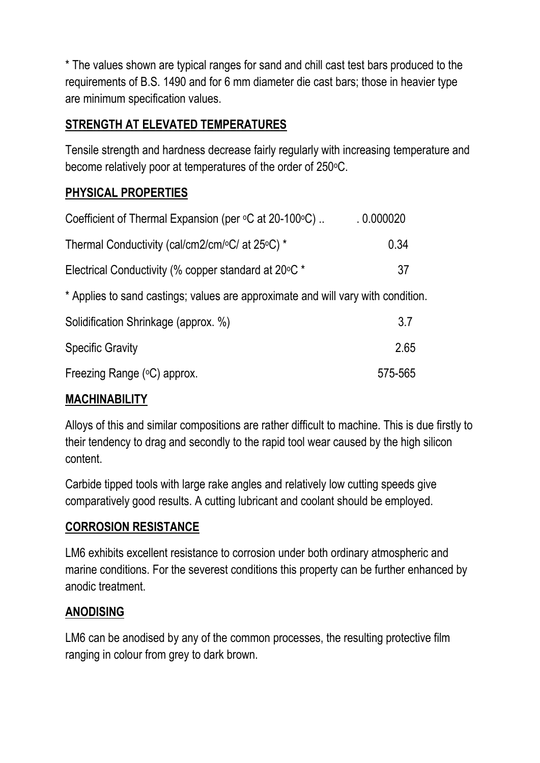\* The values shown are typical ranges for sand and chill cast test bars produced to the requirements of B.S. 1490 and for 6 mm diameter die cast bars; those in heavier type are minimum specification values.

## **STRENGTH AT ELEVATED TEMPERATURES**

Tensile strength and hardness decrease fairly regularly with increasing temperature and become relatively poor at temperatures of the order of 250 °C.

## **PHYSICAL PROPERTIES**

| Coefficient of Thermal Expansion (per °C at 20-100°C)                            | .0.000020 |
|----------------------------------------------------------------------------------|-----------|
| Thermal Conductivity (cal/cm2/cm/ $\rm ^oC/$ at 25 $\rm ^oC/$ *                  | 0.34      |
| Electrical Conductivity (% copper standard at 20 °C *                            | 37        |
| * Applies to sand castings; values are approximate and will vary with condition. |           |
| Solidification Shrinkage (approx. %)                                             | 3.7       |
| <b>Specific Gravity</b>                                                          | 2.65      |
| Freezing Range (°C) approx.                                                      | 575-565   |

#### **MACHINABILITY**

Alloys of this and similar compositions are rather difficult to machine. This is due firstly to their tendency to drag and secondly to the rapid tool wear caused by the high silicon content.

Carbide tipped tools with large rake angles and relatively low cutting speeds give comparatively good results. A cutting lubricant and coolant should be employed.

#### **CORROSION RESISTANCE**

LM6 exhibits excellent resistance to corrosion under both ordinary atmospheric and marine conditions. For the severest conditions this property can be further enhanced by anodic treatment.

#### **ANODISING**

LM6 can be anodised by any of the common processes, the resulting protective film ranging in colour from grey to dark brown.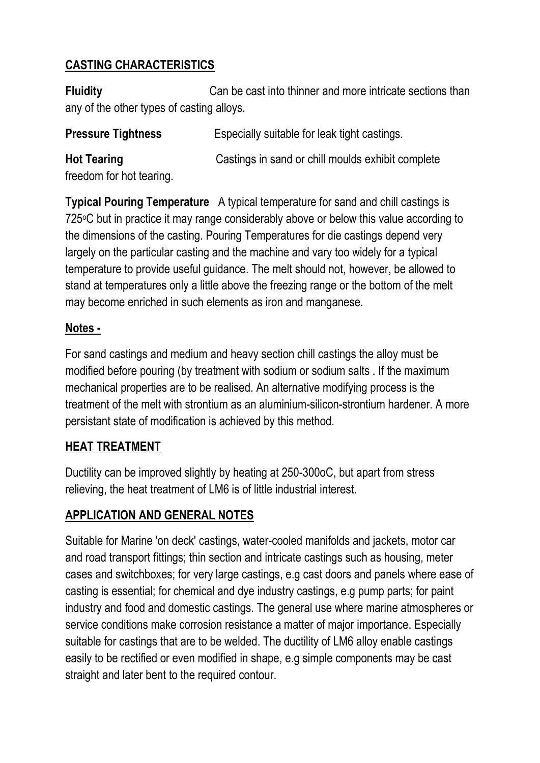## **CASTING CHARACTERISTICS**

**Fluidity** Can be cast into thinner and more intricate sections than any of the other types of casting alloys.

**Pressure Tightness** Especially suitable for leak tight castings.

**Hot Tearing** Castings in sand or chill moulds exhibit complete freedom for hot tearing.

**Typical Pouring Temperature** A typical temperature for sand and chill castings is 725oC but in practice it may range considerably above or below this value according to the dimensions of the casting. Pouring Temperatures for die castings depend very largely on the particular casting and the machine and vary too widely for a typical temperature to provide useful guidance. The melt should not, however, be allowed to stand at temperatures only a little above the freezing range or the bottom of the melt may become enriched in such elements as iron and manganese.

#### **Notes -**

For sand castings and medium and heavy section chill castings the alloy must be modified before pouring (by treatment with sodium or sodium salts . If the maximum mechanical properties are to be realised. An alternative modifying process is the treatment of the melt with strontium as an aluminium-silicon-strontium hardener. A more persistant state of modification is achieved by this method.

# **HEAT TREATMENT**

Ductility can be improved slightly by heating at 250-300oC, but apart from stress relieving, the heat treatment of LM6 is of little industrial interest.

# **APPLICATION AND GENERAL NOTES**

Suitable for Marine 'on deck' castings, water-cooled manifolds and jackets, motor car and road transport fittings; thin section and intricate castings such as housing, meter cases and switchboxes; for very large castings, e.g cast doors and panels where ease of casting is essential; for chemical and dye industry castings, e.g pump parts; for paint industry and food and domestic castings. The general use where marine atmospheres or service conditions make corrosion resistance a matter of major importance. Especially suitable for castings that are to be welded. The ductility of LM6 alloy enable castings easily to be rectified or even modified in shape, e.g simple components may be cast straight and later bent to the required contour.